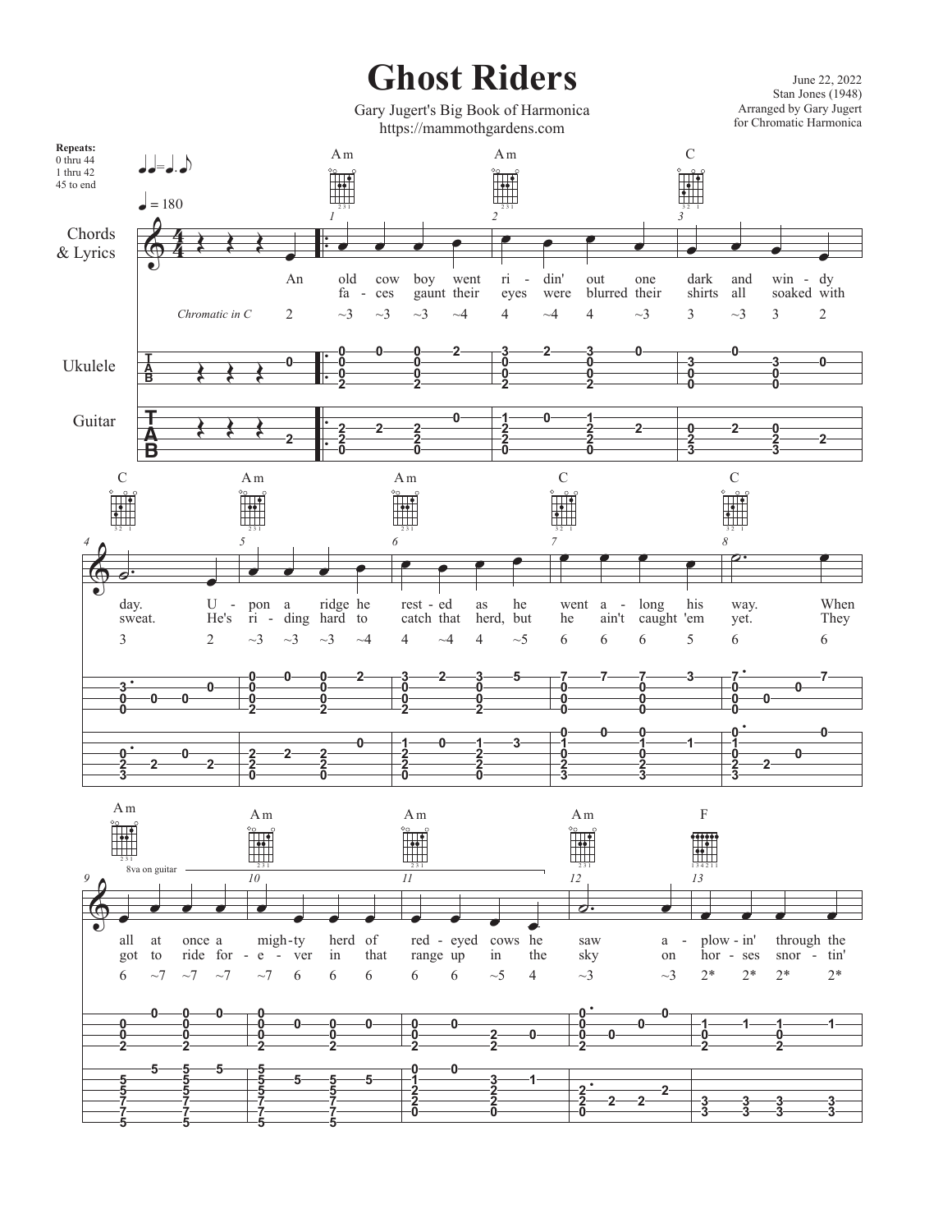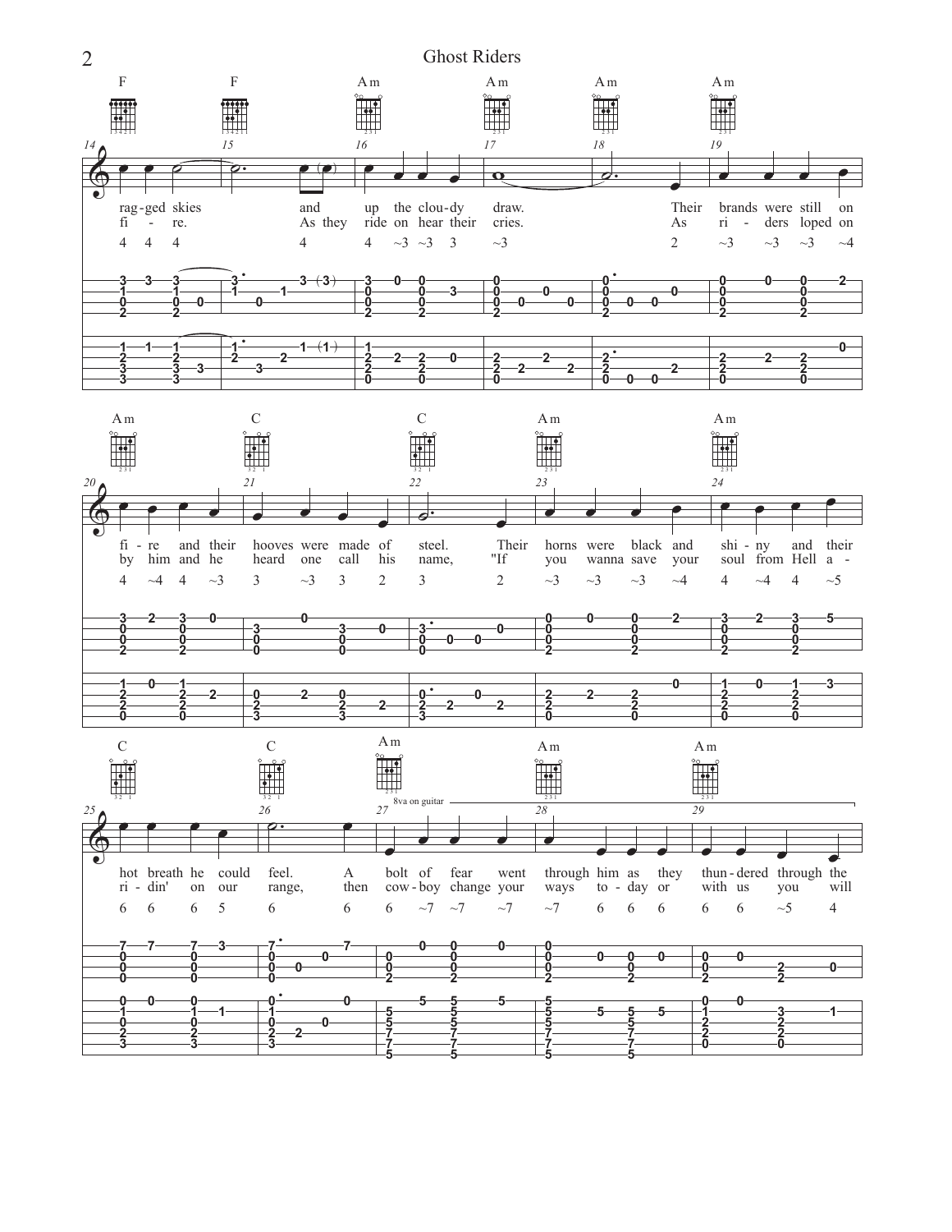